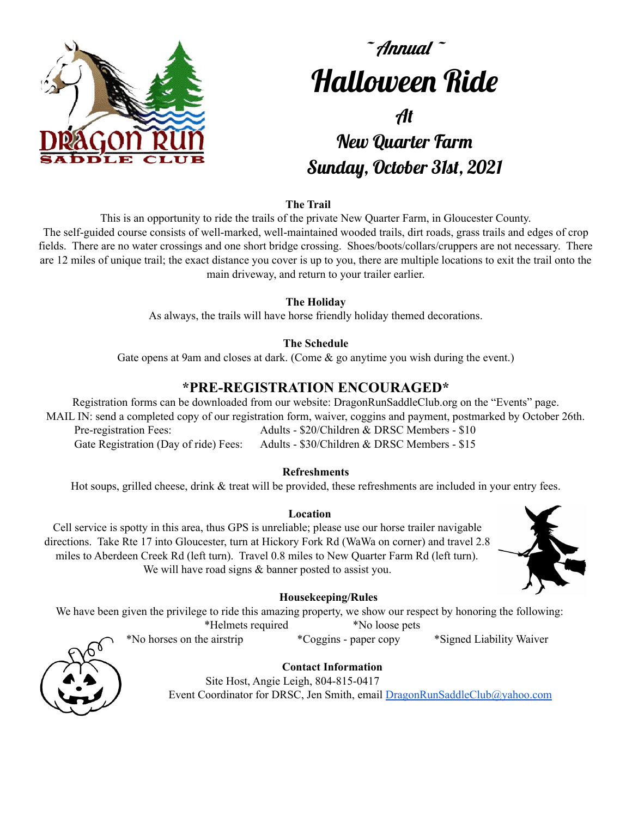

# $\tilde{\phantom{a}}$  Annual  $\tilde{\phantom{a}}$ Halloween Ride At New Quarter Farm

## Sunday, October 31st, 2021

#### **The Trail**

This is an opportunity to ride the trails of the private New Quarter Farm, in Gloucester County. The self-guided course consists of well-marked, well-maintained wooded trails, dirt roads, grass trails and edges of crop fields. There are no water crossings and one short bridge crossing. Shoes/boots/collars/cruppers are not necessary. There are 12 miles of unique trail; the exact distance you cover is up to you, there are multiple locations to exit the trail onto the main driveway, and return to your trailer earlier.

#### **The Holiday**

As always, the trails will have horse friendly holiday themed decorations.

#### **The Schedule**

Gate opens at 9am and closes at dark. (Come & go anytime you wish during the event.)

### **\*PRE-REGISTRATION ENCOURAGED\***

Registration forms can be downloaded from our website: DragonRunSaddleClub.org on the "Events" page. MAIL IN: send a completed copy of our registration form, waiver, coggins and payment, postmarked by October 26th. Pre-registration Fees: Adults - \$20/Children & DRSC Members - \$10 Gate Registration (Day of ride) Fees: Adults - \$30/Children & DRSC Members - \$15

#### **Refreshments**

Hot soups, grilled cheese, drink & treat will be provided, these refreshments are included in your entry fees.

#### **Location**

Cell service is spotty in this area, thus GPS is unreliable; please use our horse trailer navigable directions. Take Rte 17 into Gloucester, turn at Hickory Fork Rd (WaWa on corner) and travel 2.8 miles to Aberdeen Creek Rd (left turn). Travel 0.8 miles to New Quarter Farm Rd (left turn). We will have road signs  $&$  banner posted to assist you.



#### **Housekeeping/Rules**

We have been given the privilege to ride this amazing property, we show our respect by honoring the following: \*Helmets required \*No loose pets

\*No horses on the airstrip \*Coggins - paper copy \*Signed Liability Waiver

**Contact Information** Site Host, Angie Leigh, 804-815-0417 Event Coordinator for DRSC, Jen Smith, email [DragonRunSaddleClub@yahoo.com](mailto:DragonRunSaddleClub@yahoo.com)